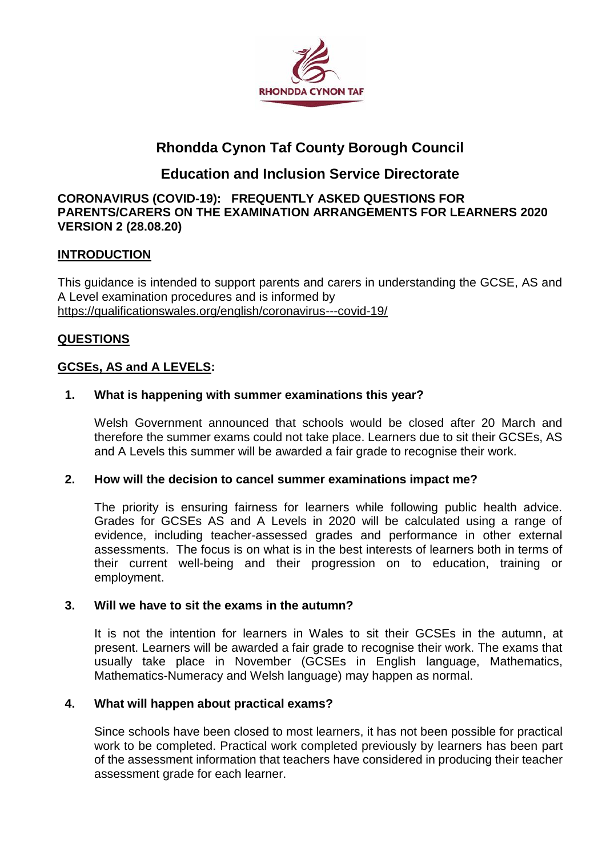

# **Rhondda Cynon Taf County Borough Council**

## **Education and Inclusion Service Directorate**

#### **CORONAVIRUS (COVID-19): FREQUENTLY ASKED QUESTIONS FOR PARENTS/CARERS ON THE EXAMINATION ARRANGEMENTS FOR LEARNERS 2020 VERSION 2 (28.08.20)**

## **INTRODUCTION**

This guidance is intended to support parents and carers in understanding the GCSE, AS and A Level examination procedures and is informed by <https://qualificationswales.org/english/coronavirus---covid-19/>

## **QUESTIONS**

## **GCSEs, AS and A LEVELS:**

## **1. What is happening with summer examinations this year?**

Welsh Government announced that schools would be closed after 20 March and therefore the summer exams could not take place. Learners due to sit their GCSEs, AS and A Levels this summer will be awarded a fair grade to recognise their work.

## **2. How will the decision to cancel summer examinations impact me?**

The priority is ensuring fairness for learners while following public health advice. Grades for GCSEs AS and A Levels in 2020 will be calculated using a range of evidence, including teacher-assessed grades and performance in other external assessments. The focus is on what is in the best interests of learners both in terms of their current well-being and their progression on to education, training or employment.

## **3. Will we have to sit the exams in the autumn?**

It is not the intention for learners in Wales to sit their GCSEs in the autumn, at present. Learners will be awarded a fair grade to recognise their work. The exams that usually take place in November (GCSEs in English language, Mathematics, Mathematics-Numeracy and Welsh language) may happen as normal.

## **4. What will happen about practical exams?**

Since schools have been closed to most learners, it has not been possible for practical work to be completed. Practical work completed previously by learners has been part of the assessment information that teachers have considered in producing their teacher assessment grade for each learner.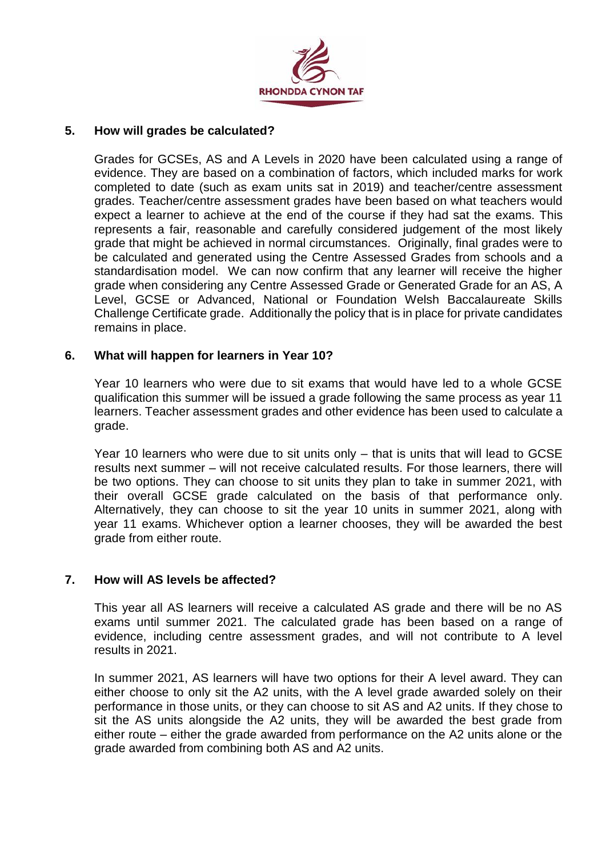

## **5. How will grades be calculated?**

Grades for GCSEs, AS and A Levels in 2020 have been calculated using a range of evidence. They are based on a combination of factors, which included marks for work completed to date (such as exam units sat in 2019) and teacher/centre assessment grades. Teacher/centre assessment grades have been based on what teachers would expect a learner to achieve at the end of the course if they had sat the exams. This represents a fair, reasonable and carefully considered judgement of the most likely grade that might be achieved in normal circumstances. Originally, final grades were to be calculated and generated using the Centre Assessed Grades from schools and a standardisation model. We can now confirm that any learner will receive the higher grade when considering any Centre Assessed Grade or Generated Grade for an AS, A Level, GCSE or Advanced, National or Foundation Welsh Baccalaureate Skills Challenge Certificate grade. Additionally the policy that is in place for private candidates remains in place.

## **6. What will happen for learners in Year 10?**

Year 10 learners who were due to sit exams that would have led to a whole GCSE qualification this summer will be issued a grade following the same process as year 11 learners. Teacher assessment grades and other evidence has been used to calculate a grade.

Year 10 learners who were due to sit units only – that is units that will lead to GCSE results next summer – will not receive calculated results. For those learners, there will be two options. They can choose to sit units they plan to take in summer 2021, with their overall GCSE grade calculated on the basis of that performance only. Alternatively, they can choose to sit the year 10 units in summer 2021, along with year 11 exams. Whichever option a learner chooses, they will be awarded the best grade from either route.

## **7. How will AS levels be affected?**

This year all AS learners will receive a calculated AS grade and there will be no AS exams until summer 2021. The calculated grade has been based on a range of evidence, including centre assessment grades, and will not contribute to A level results in 2021.

In summer 2021, AS learners will have two options for their A level award. They can either choose to only sit the A2 units, with the A level grade awarded solely on their performance in those units, or they can choose to sit AS and A2 units. If they chose to sit the AS units alongside the A2 units, they will be awarded the best grade from either route – either the grade awarded from performance on the A2 units alone or the grade awarded from combining both AS and A2 units.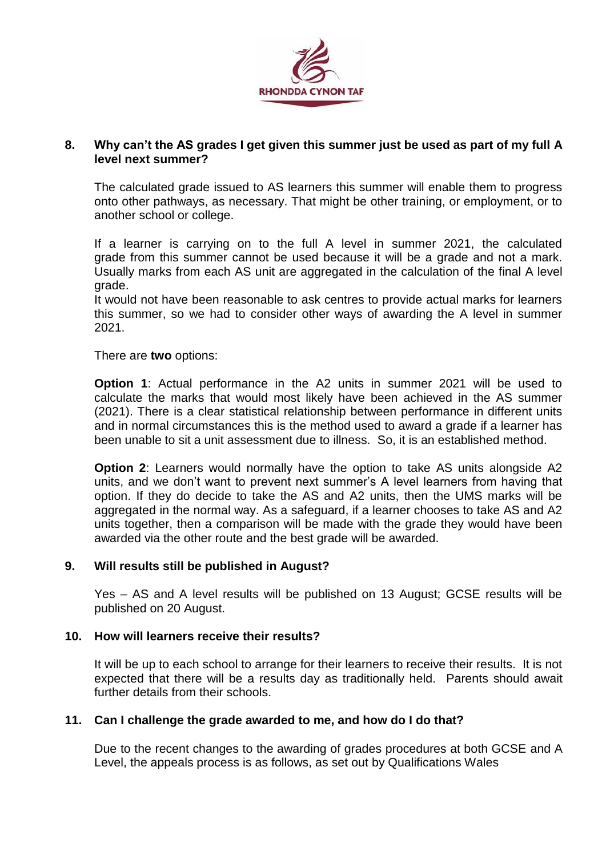

## **8. Why can't the AS grades I get given this summer just be used as part of my full A level next summer?**

The calculated grade issued to AS learners this summer will enable them to progress onto other pathways, as necessary. That might be other training, or employment, or to another school or college.

If a learner is carrying on to the full A level in summer 2021, the calculated grade from this summer cannot be used because it will be a grade and not a mark. Usually marks from each AS unit are aggregated in the calculation of the final A level grade.

It would not have been reasonable to ask centres to provide actual marks for learners this summer, so we had to consider other ways of awarding the A level in summer 2021.

There are **two** options:

**Option 1**: Actual performance in the A2 units in summer 2021 will be used to calculate the marks that would most likely have been achieved in the AS summer (2021). There is a clear statistical relationship between performance in different units and in normal circumstances this is the method used to award a grade if a learner has been unable to sit a unit assessment due to illness. So, it is an established method.

**Option 2:** Learners would normally have the option to take AS units alongside A2 units, and we don't want to prevent next summer's A level learners from having that option. If they do decide to take the AS and A2 units, then the UMS marks will be aggregated in the normal way. As a safeguard, if a learner chooses to take AS and A2 units together, then a comparison will be made with the grade they would have been awarded via the other route and the best grade will be awarded.

## **9. Will results still be published in August?**

Yes – AS and A level results will be published on 13 August; GCSE results will be published on 20 August.

## **10. How will learners receive their results?**

It will be up to each school to arrange for their learners to receive their results. It is not expected that there will be a results day as traditionally held. Parents should await further details from their schools.

## **11. Can I challenge the grade awarded to me, and how do I do that?**

Due to the recent changes to the awarding of grades procedures at both GCSE and A Level, the appeals process is as follows, as set out by Qualifications Wales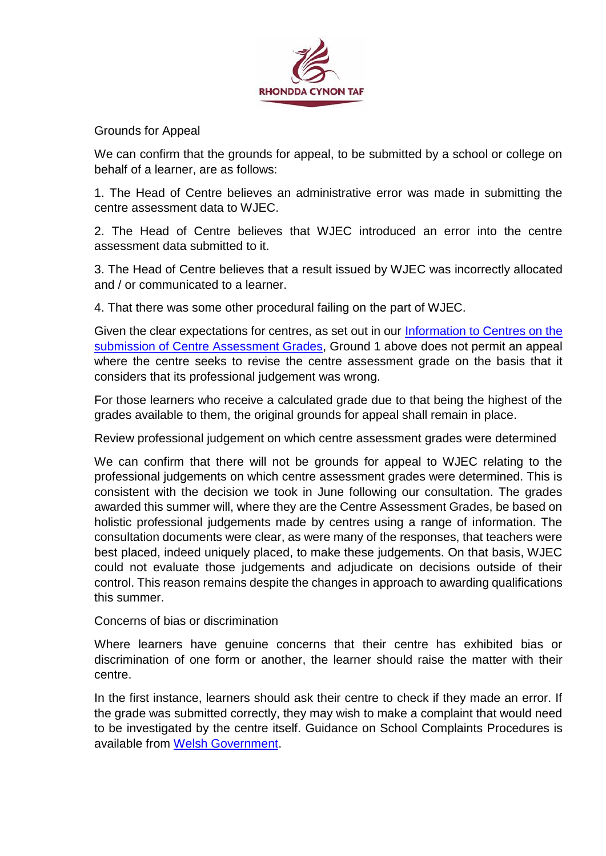

Grounds for Appeal

We can confirm that the grounds for appeal, to be submitted by a school or college on behalf of a learner, are as follows:

1. The Head of Centre believes an administrative error was made in submitting the centre assessment data to WJEC.

2. The Head of Centre believes that WJEC introduced an error into the centre assessment data submitted to it.

3. The Head of Centre believes that a result issued by WJEC was incorrectly allocated and / or communicated to a learner.

4. That there was some other procedural failing on the part of WJEC.

Given the clear expectations for centres, as set out in our [Information to Centres on the](https://www.qualificationswales.org/media/5973/information-for-centres-on-the-submission-of-centre-assessment-grades-version-2-18-may-2020.pdf)  [submission of Centre Assessment Grades,](https://www.qualificationswales.org/media/5973/information-for-centres-on-the-submission-of-centre-assessment-grades-version-2-18-may-2020.pdf) Ground 1 above does not permit an appeal where the centre seeks to revise the centre assessment grade on the basis that it considers that its professional judgement was wrong.

For those learners who receive a calculated grade due to that being the highest of the grades available to them, the original grounds for appeal shall remain in place.

Review professional judgement on which centre assessment grades were determined

We can confirm that there will not be grounds for appeal to WJEC relating to the professional judgements on which centre assessment grades were determined. This is consistent with the decision we took in June following our consultation. The grades awarded this summer will, where they are the Centre Assessment Grades, be based on holistic professional judgements made by centres using a range of information. The consultation documents were clear, as were many of the responses, that teachers were best placed, indeed uniquely placed, to make these judgements. On that basis, WJEC could not evaluate those judgements and adjudicate on decisions outside of their control. This reason remains despite the changes in approach to awarding qualifications this summer.

Concerns of bias or discrimination

Where learners have genuine concerns that their centre has exhibited bias or discrimination of one form or another, the learner should raise the matter with their centre.

In the first instance, learners should ask their centre to check if they made an error. If the grade was submitted correctly, they may wish to make a complaint that would need to be investigated by the centre itself. Guidance on School Complaints Procedures is available from [Welsh Government.](https://gov.wales/school-complaints-procedures-guidance)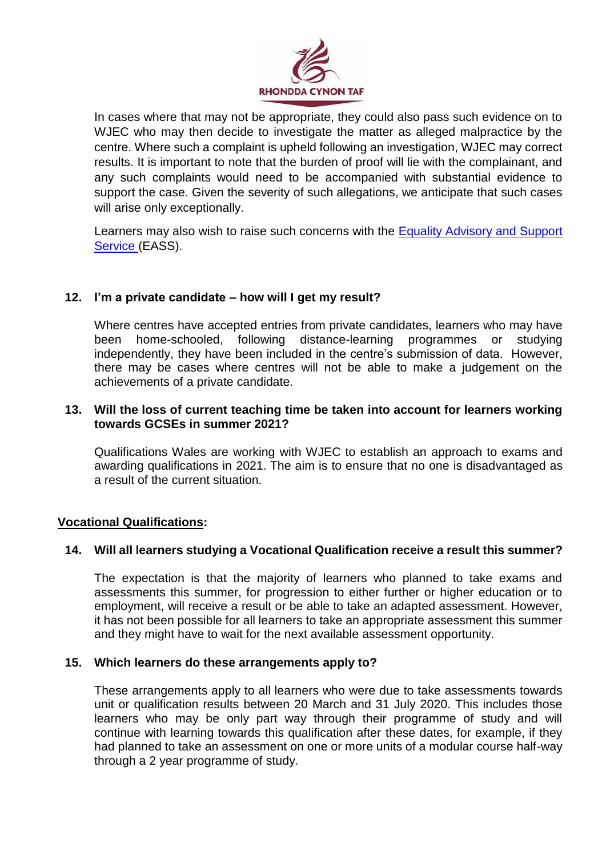

In cases where that may not be appropriate, they could also pass such evidence on to WJEC who may then decide to investigate the matter as alleged malpractice by the centre. Where such a complaint is upheld following an investigation, WJEC may correct results. It is important to note that the burden of proof will lie with the complainant, and any such complaints would need to be accompanied with substantial evidence to support the case. Given the severity of such allegations, we anticipate that such cases will arise only exceptionally.

Learners may also wish to raise such concerns with the **Equality Advisory and Support** [Service](https://www.equalityhumanrights.com/en/contact-us/equality-advisory-and-support-service) (EASS).

## **12. I'm a private candidate – how will I get my result?**

Where centres have accepted entries from private candidates, learners who may have been home-schooled, following distance-learning programmes or studying independently, they have been included in the centre's submission of data. However, there may be cases where centres will not be able to make a judgement on the achievements of a private candidate.

## **13. Will the loss of current teaching time be taken into account for learners working towards GCSEs in summer 2021?**

Qualifications Wales are working with WJEC to establish an approach to exams and awarding qualifications in 2021. The aim is to ensure that no one is disadvantaged as a result of the current situation.

## **Vocational Qualifications:**

## **14. Will all learners studying a Vocational Qualification receive a result this summer?**

The expectation is that the majority of learners who planned to take exams and assessments this summer, for progression to either further or higher education or to employment, will receive a result or be able to take an adapted assessment. However, it has not been possible for all learners to take an appropriate assessment this summer and they might have to wait for the next available assessment opportunity.

## **15. Which learners do these arrangements apply to?**

These arrangements apply to all learners who were due to take assessments towards unit or qualification results between 20 March and 31 July 2020. This includes those learners who may be only part way through their programme of study and will continue with learning towards this qualification after these dates, for example, if they had planned to take an assessment on one or more units of a modular course half-way through a 2 year programme of study.